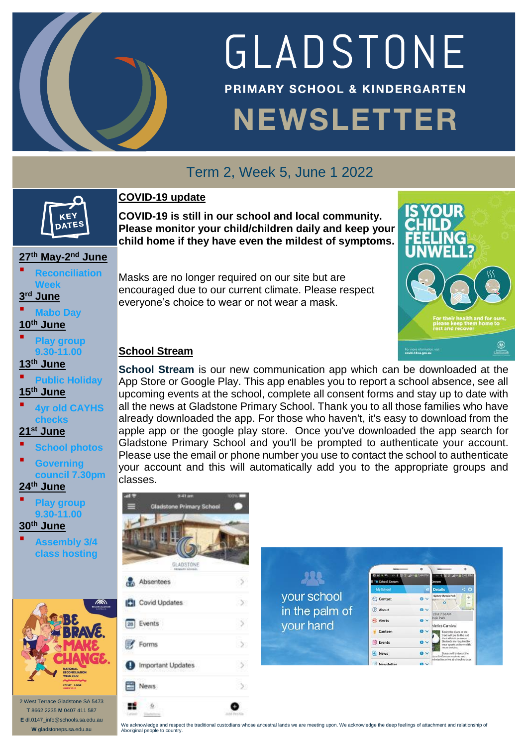

# GLADSTONE **PRIMARY SCHOOL & KINDERGARTEN NEWSLETTER**

## Term 2, Week 5, June 1 2022

### **COVID-19 update**

**COVID-19 is still in our school and local community. Please monitor your child/children daily and keep your child home if they have even the mildest of symptoms.**

## **27th May-2 nd June**

KFY DATES

**Anciliation Week**

**3 rd June**

**Mabo Day**

**10th June**

 **Play group 9.30-11.00**

**13 th June**

 **Public Holiday 15 th June**

 **4yr old CAYHS checks**

**21st June**

 **School photos Governing council 7.30pm**

**24th June**

 **Play group 9.30-11.00**

**30th June**

 **Assembly 3/4 class hosting**



2 West Terrace Gladstone SA 5473 **T** 8662 2235 **M** 0407 411 587 **E** dl.0147\_info@schools.sa.edu.au **W** gladstoneps.sa.edu.au

Masks are no longer required on our site but are encouraged due to our current climate. Please respect everyone's choice to wear or not wear a mask.



### **School Stream**

**School Stream** is our new communication app which can be downloaded at the App Store or Google Play. This app enables you to report a school absence, see all upcoming events at the school, complete all consent forms and stay up to date with all the news at Gladstone Primary School. Thank you to all those families who have already downloaded the app. For those who haven't, it's easy to download from the apple app or the google play store. Once you've downloaded the app search for Gladstone Primary School and you'll be prompted to authenticate your account. Please use the email or phone number you use to contact the school to authenticate your account and this will automatically add you to the appropriate groups and classes.



We acknowledge and respect the traditional custodians whose ancestral lands we are meeting upon. We acknowledge the deep feelings of attachment and relationship of Aboriginal people to country.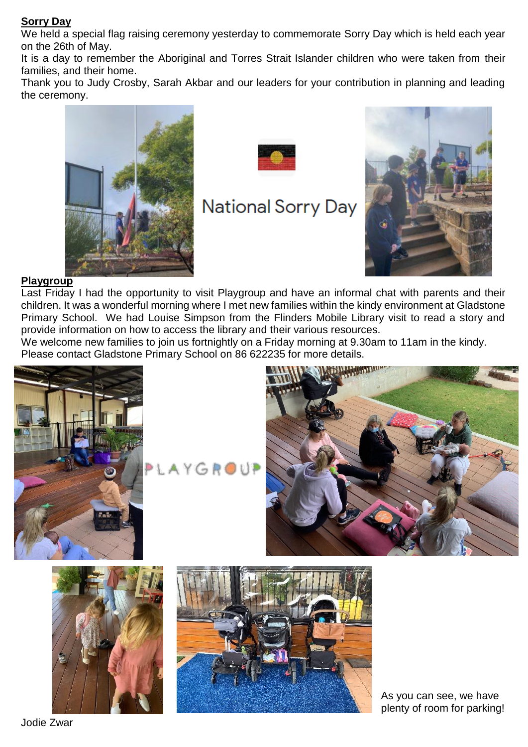#### **Sorry Day**

We held a special flag raising ceremony yesterday to commemorate Sorry Day which is held each year on the 26th of May.

It is a day to remember the Aboriginal and Torres Strait Islander children who were taken from their families, and their home.

Thank you to Judy Crosby, Sarah Akbar and our leaders for your contribution in planning and leading the ceremony.





# **National Sorry Day**



#### **Playgroup**

Last Friday I had the opportunity to visit Playgroup and have an informal chat with parents and their children. It was a wonderful morning where I met new families within the kindy environment at Gladstone Primary School. We had Louise Simpson from the Flinders Mobile Library visit to read a story and provide information on how to access the library and their various resources.

We welcome new families to join us fortnightly on a Friday morning at 9.30am to 11am in the kindy. Please contact Gladstone Primary School on 86 622235 for more details.







As you can see, we have plenty of room for parking!

Jodie Zwar